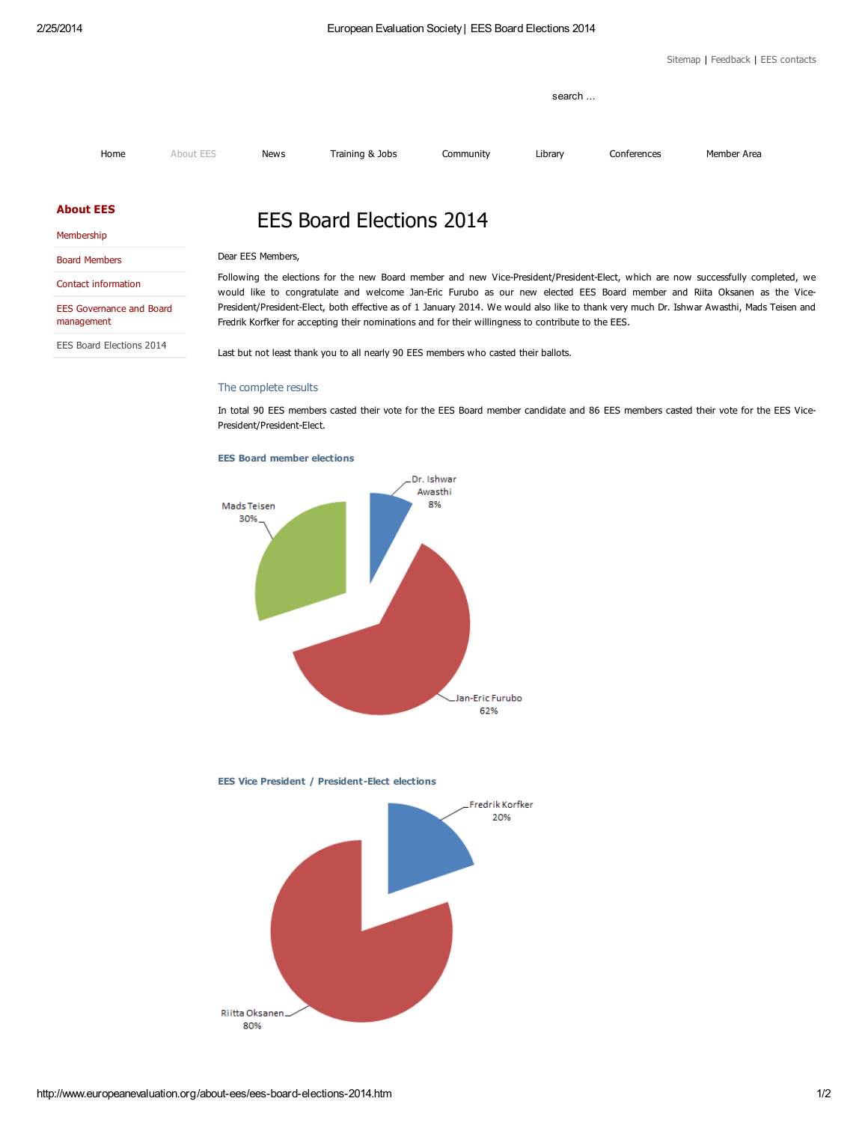[Sitemap](http://www.europeanevaluation.org/sitemap.htm) | [Feedback](mailto:secretariat@europeanevaluation.org) | EES [contacts](http://www.europeanevaluation.org/about-ees/contact-information.htm)

|      |           |             |                 | search    |         |             |             |
|------|-----------|-------------|-----------------|-----------|---------|-------------|-------------|
| Home | About EES | <b>News</b> | Training & Jobs | Community | Library | Conferences | Member Area |

## [About](http://www.europeanevaluation.org/about-ees.htm) EES

|  | Membership |  |
|--|------------|--|
|  |            |  |
|  |            |  |

| <b>Board Members</b> |  |
|----------------------|--|

Contact [information](http://www.europeanevaluation.org/about-ees/contact-information.htm)

EES Governance and Board [management](http://www.europeanevaluation.org/about-ees/ees-governance-and-board-management.htm)

EES Board [Elections](http://www.europeanevaluation.org/about-ees/ees-board-elections-2014.htm) 2014

## EES Board Elections 2014

Dear EES Members,

Following the elections for the new Board member and new Vice-President/President-Elect, which are now successfully completed, we would like to congratulate and welcome Jan-Eric Furubo as our new elected EES Board member and Riita Oksanen as the Vice-President/President-Elect, both effective as of 1 January 2014. We would also like to thank very much Dr. Ishwar Awasthi, Mads Teisen and Fredrik Korfker for accepting their nominations and for their willingness to contribute to the EES.

Last but not least thank you to all nearly 90 EES members who casted their ballots.

## The complete results

In total 90 EES members casted their vote for the EES Board member candidate and 86 EES members casted their vote for the EES Vice-President/President-Elect.



EES Board member elections

EES Vice President / President-Elect elections